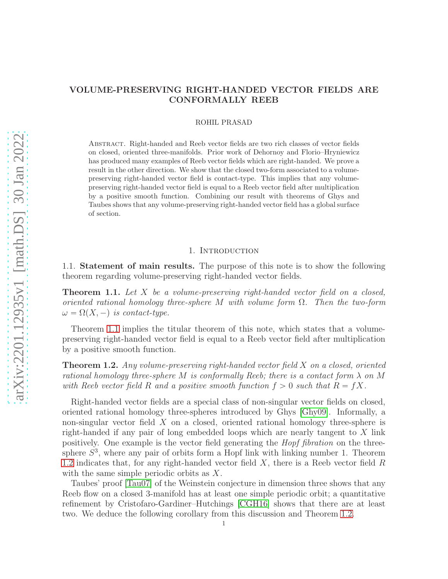# VOLUME-PRESERVING RIGHT-HANDED VECTOR FIELDS ARE CONFORMALLY REEB

## ROHIL PRASAD

Abstract. Right-handed and Reeb vector fields are two rich classes of vector fields on closed, oriented three-manifolds. Prior work of Dehornoy and Florio–Hryniewicz has produced many examples of Reeb vector fields which are right-handed. We prove a result in the other direction. We show that the closed two-form associated to a volumepreserving right-handed vector field is contact-type. This implies that any volumepreserving right-handed vector field is equal to a Reeb vector field after multiplication by a positive smooth function. Combining our result with theorems of Ghys and Taubes shows that any volume-preserving right-handed vector field has a global surface of section.

## 1. INTRODUCTION

1.1. Statement of main results. The purpose of this note is to show the following theorem regarding volume-preserving right-handed vector fields.

<span id="page-0-0"></span>**Theorem 1.1.** Let X be a volume-preserving right-handed vector field on a closed, oriented rational homology three-sphere M with volume form  $\Omega$ . Then the two-form  $\omega = \Omega(X, -)$  is contact-type.

Theorem [1.1](#page-0-0) implies the titular theorem of this note, which states that a volumepreserving right-handed vector field is equal to a Reeb vector field after multiplication by a positive smooth function.

<span id="page-0-1"></span>**Theorem 1.2.** Any volume-preserving right-handed vector field  $X$  on a closed, oriented rational homology three-sphere M is conformally Reeb; there is a contact form  $\lambda$  on M with Reeb vector field R and a positive smooth function  $f > 0$  such that  $R = fX$ .

Right-handed vector fields are a special class of non-singular vector fields on closed, oriented rational homology three-spheres introduced by Ghys [\[Ghy09\]](#page-12-0). Informally, a non-singular vector field  $X$  on a closed, oriented rational homology three-sphere is right-handed if any pair of long embedded loops which are nearly tangent to X link positively. One example is the vector field generating the Hopf fibration on the threesphere  $S<sup>3</sup>$ , where any pair of orbits form a Hopf link with linking number 1. Theorem [1.2](#page-0-1) indicates that, for any right-handed vector field  $X$ , there is a Reeb vector field  $R$ with the same simple periodic orbits as X.

Taubes' proof [\[Tau07\]](#page-12-1) of the Weinstein conjecture in dimension three shows that any Reeb flow on a closed 3-manifold has at least one simple periodic orbit; a quantitative refinement by Cristofaro-Gardiner–Hutchings [\[CGH16\]](#page-11-0) shows that there are at least two. We deduce the following corollary from this discussion and Theorem [1.2.](#page-0-1)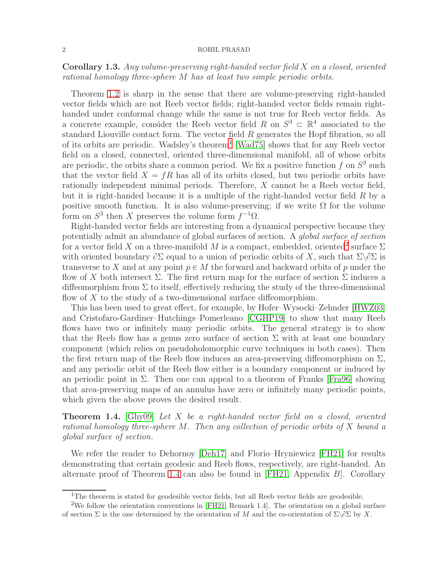<span id="page-1-3"></span>Corollary 1.3. Any volume-preserving right-handed vector field X on a closed, oriented rational homology three-sphere M has at least two simple periodic orbits.

Theorem [1.2](#page-0-1) is sharp in the sense that there are volume-preserving right-handed vector fields which are not Reeb vector fields; right-handed vector fields remain righthanded under conformal change while the same is not true for Reeb vector fields. As a concrete example, consider the Reeb vector field R on  $S^3 \subset \mathbb{R}^4$  associated to the standard Liouville contact form. The vector field R generates the Hopf fibration, so all of its orbits are periodic. Wadsley's theorem<sup>[1](#page-1-0)</sup> [\[Wad75\]](#page-12-2) shows that for any Reeb vector field on a closed, connected, oriented three-dimensional manifold, all of whose orbits are periodic, the orbits share a common period. We fix a positive function  $f$  on  $S^3$  such that the vector field  $X = fR$  has all of its orbits closed, but two periodic orbits have rationally independent minimal periods. Therefore, X cannot be a Reeb vector field, but it is right-handed because it is a multiple of the right-handed vector field R by a positive smooth function. It is also volume-preserving; if we write  $\Omega$  for the volume form on  $S^3$  then X preserves the volume form  $f^{-1}\Omega$ .

Right-handed vector fields are interesting from a dynamical perspective because they potentially admit an abundance of global surfaces of section. A global surface of section for a vector field X on a three-manifold M is a compact, embedded, oriented<sup>[2](#page-1-1)</sup> surface  $\Sigma$ with oriented boundary  $\partial \Sigma$  equal to a union of periodic orbits of X, such that  $\Sigma \backslash \partial \Sigma$  is transverse to X and at any point  $p \in M$  the forward and backward orbits of p under the flow of X both intersect  $\Sigma$ . The first return map for the surface of section  $\Sigma$  induces a diffeomorphism from  $\Sigma$  to itself, effectively reducing the study of the three-dimensional flow of  $X$  to the study of a two-dimensional surface diffeomorphism.

This has been used to great effect, for example, by Hofer–Wysocki–Zehnder [\[HWZ03\]](#page-12-3) and Cristofaro-Gardiner–Hutchings–Pomerleano [\[CGHP19\]](#page-11-1) to show that many Reeb flows have two or infinitely many periodic orbits. The general strategy is to show that the Reeb flow has a genus zero surface of section  $\Sigma$  with at least one boundary component (which relies on pseudoholomorphic curve techniques in both cases). Then the first return map of the Reeb flow induces an area-preserving diffeomorphism on  $\Sigma$ , and any periodic orbit of the Reeb flow either is a boundary component or induced by an periodic point in  $\Sigma$ . Then one can appeal to a theorem of Franks [\[Fra96\]](#page-12-4) showing that area-preserving maps of an annulus have zero or infinitely many periodic points, which given the above proves the desired result.

<span id="page-1-2"></span>**Theorem 1.4.** [\[Ghy09\]](#page-12-0) Let X be a right-handed vector field on a closed, oriented rational homology three-sphere M. Then any collection of periodic orbits of X bound a global surface of section.

We refer the reader to Dehornoy [\[Deh17\]](#page-11-2) and Florio–Hryniewicz [\[FH21\]](#page-12-5) for results demonstrating that certain geodesic and Reeb flows, respectively, are right-handed. An alternate proof of Theorem [1.4](#page-1-2) can also be found in  $[FH21,$  Appendix  $B$ . Corollary

<span id="page-1-0"></span><sup>&</sup>lt;sup>1</sup>The theorem is stated for geodesible vector fields, but all Reeb vector fields are geodesible.

<span id="page-1-1"></span><sup>2</sup>We follow the orientation conventions in [\[FH21,](#page-12-5) Remark 1.4]. The orientation on a global surface of section  $\Sigma$  is the one determined by the orientation of M and the co-orientation of  $\Sigma\backslash\partial\Sigma$  by X.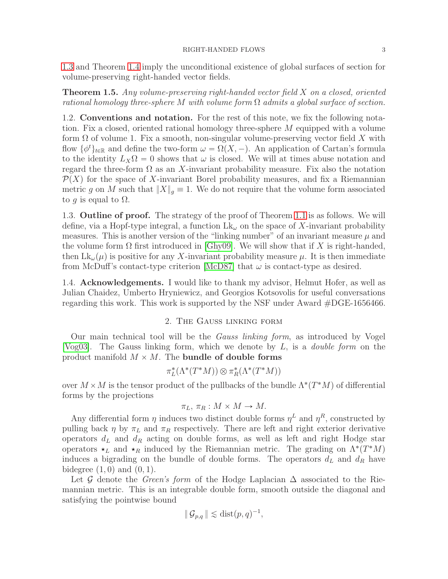[1.3](#page-1-3) and Theorem [1.4](#page-1-2) imply the unconditional existence of global surfaces of section for volume-preserving right-handed vector fields.

**Theorem 1.5.** Any volume-preserving right-handed vector field  $X$  on a closed, oriented rational homology three-sphere M with volume form  $\Omega$  admits a global surface of section.

1.2. Conventions and notation. For the rest of this note, we fix the following notation. Fix a closed, oriented rational homology three-sphere M equipped with a volume form  $\Omega$  of volume 1. Fix a smooth, non-singular volume-preserving vector field X with flow  $\{\phi^t\}_{t\in\mathbb{R}}$  and define the two-form  $\omega = \Omega(X, -)$ . An application of Cartan's formula to the identity  $L_X \Omega = 0$  shows that  $\omega$  is closed. We will at times abuse notation and regard the three-form  $\Omega$  as an X-invariant probability measure. Fix also the notation  $\mathcal{P}(X)$  for the space of X-invariant Borel probability measures, and fix a Riemannian metric g on M such that  $||X||_q \equiv 1$ . We do not require that the volume form associated to g is equal to  $\Omega$ .

1.3. Outline of proof. The strategy of the proof of Theorem [1.1](#page-0-0) is as follows. We will define, via a Hopf-type integral, a function  $Lk_{\omega}$  on the space of X-invariant probability measures. This is another version of the "linking number" of an invariant measure  $\mu$  and the volume form  $\Omega$  first introduced in [\[Ghy09\]](#page-12-0). We will show that if X is right-handed, then  $Lk_{\omega}(\mu)$  is positive for any X-invariant probability measure  $\mu$ . It is then immediate from McDuff's contact-type criterion [\[McD87\]](#page-12-6) that  $\omega$  is contact-type as desired.

1.4. Acknowledgements. I would like to thank my advisor, Helmut Hofer, as well as Julian Chaidez, Umberto Hryniewicz, and Georgios Kotsovolis for useful conversations regarding this work. This work is supported by the NSF under Award #DGE-1656466.

# 2. The Gauss linking form

<span id="page-2-0"></span>Our main technical tool will be the Gauss linking form, as introduced by Vogel [\[Vog03\]](#page-12-7). The Gauss linking form, which we denote by  $L$ , is a *double form* on the product manifold  $M \times M$ . The bundle of double forms

$$
\pi_L^*(\Lambda^*(T^*M))\otimes \pi_R^*(\Lambda^*(T^*M))
$$

over  $M \times M$  is the tensor product of the pullbacks of the bundle  $\Lambda^*(T^*M)$  of differential forms by the projections

$$
\pi_L, \, \pi_R : M \times M \to M.
$$

Any differential form  $\eta$  induces two distinct double forms  $\eta^L$  and  $\eta^R$ , constructed by pulling back  $\eta$  by  $\pi_L$  and  $\pi_R$  respectively. There are left and right exterior derivative operators  $d<sub>L</sub>$  and  $d<sub>R</sub>$  acting on double forms, as well as left and right Hodge star operators  $\star_L$  and  $\star_R$  induced by the Riemannian metric. The grading on  $\Lambda^*(T^*M)$ induces a bigrading on the bundle of double forms. The operators  $d<sub>L</sub>$  and  $d<sub>R</sub>$  have bidegree  $(1, 0)$  and  $(0, 1)$ .

Let G denote the Green's form of the Hodge Laplacian  $\Delta$  associated to the Riemannian metric. This is an integrable double form, smooth outside the diagonal and satisfying the pointwise bound

$$
\|\mathcal{G}_{p,q}\| \lesssim \text{dist}(p,q)^{-1},
$$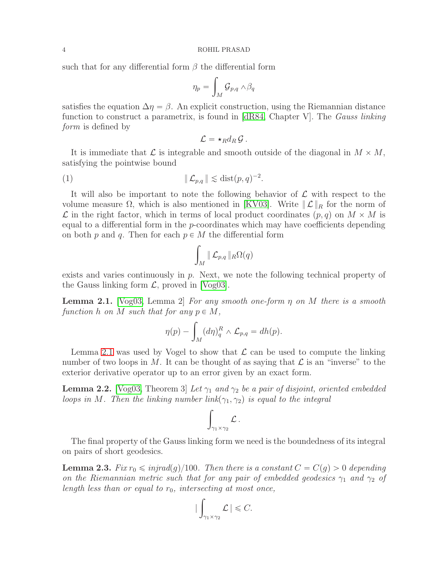such that for any differential form  $\beta$  the differential form

$$
\eta_p = \int_M \mathcal{G}_{p,q} \wedge \beta_q
$$

satisfies the equation  $\Delta \eta = \beta$ . An explicit construction, using the Riemannian distance function to construct a parametrix, is found in [\[dR84,](#page-11-3) Chapter V]. The *Gauss linking* form is defined by

<span id="page-3-3"></span>
$$
\mathcal{L} = \star_R d_R \mathcal{G}.
$$

It is immediate that  $\mathcal L$  is integrable and smooth outside of the diagonal in  $M \times M$ , satisfying the pointwise bound

$$
(1) \t\t\t  $\|\mathcal{L}_{p,q}\| \lesssim \text{dist}(p,q)^{-2}.$
$$

It will also be important to note the following behavior of  $\mathcal L$  with respect to the volume measure  $\Omega$ , which is also mentioned in [\[KV03\]](#page-12-8). Write  $\mathcal{L}\|_{R}$  for the norm of  $\mathcal L$  in the right factor, which in terms of local product coordinates  $(p, q)$  on  $M \times M$  is equal to a differential form in the  $p$ -coordinates which may have coefficients depending on both p and q. Then for each  $p \in M$  the differential form

$$
\int_M \|\mathcal{L}_{p,q}\|_R \Omega(q)
$$

exists and varies continuously in p. Next, we note the following technical property of the Gauss linking form  $\mathcal{L}$ , proved in [\[Vog03\]](#page-12-7).

<span id="page-3-0"></span>**Lemma 2.1.** [\[Vog03,](#page-12-7) Lemma 2] For any smooth one-form  $\eta$  on M there is a smooth function h on M such that for any  $p \in M$ ,

$$
\eta(p) - \int_M (d\eta)_q^R \wedge \mathcal{L}_{p,q} = dh(p).
$$

Lemma [2.1](#page-3-0) was used by Vogel to show that  $\mathcal L$  can be used to compute the linking number of two loops in M. It can be thought of as saying that  $\mathcal L$  is an "inverse" to the exterior derivative operator up to an error given by an exact form.

<span id="page-3-2"></span>**Lemma 2.2.** [\[Vog03,](#page-12-7) Theorem 3] Let  $\gamma_1$  and  $\gamma_2$  be a pair of disjoint, oriented embedded loops in M. Then the linking number link $(\gamma_1, \gamma_2)$  is equal to the integral

$$
\int_{\gamma_1\times\gamma_2} {\cal L}\,.
$$

The final property of the Gauss linking form we need is the boundedness of its integral on pairs of short geodesics.

<span id="page-3-1"></span>**Lemma 2.3.** Fix  $r_0 \leq \text{injrad}(g)/100$ . Then there is a constant  $C = C(g) > 0$  depending on the Riemannian metric such that for any pair of embedded geodesics  $\gamma_1$  and  $\gamma_2$  of length less than or equal to  $r_0$ , intersecting at most once,

$$
\big|\int_{\gamma_1\times\gamma_2}\mathcal{L}\big|\leqslant C.
$$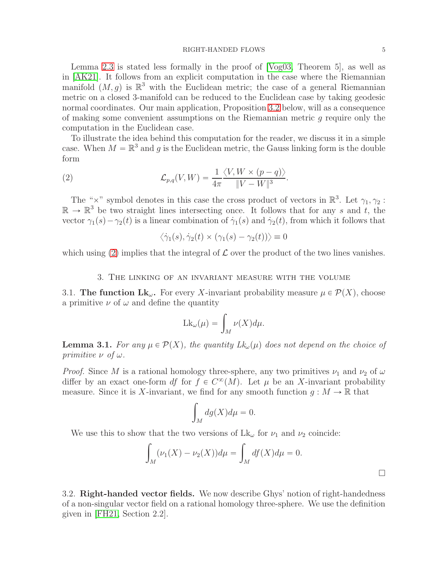## RIGHT-HANDED FLOWS 5

Lemma [2.3](#page-3-1) is stated less formally in the proof of [\[Vog03,](#page-12-7) Theorem 5], as well as in [\[AK21\]](#page-11-4). It follows from an explicit computation in the case where the Riemannian manifold  $(M, g)$  is  $\mathbb{R}^3$  with the Euclidean metric; the case of a general Riemannian metric on a closed 3-manifold can be reduced to the Euclidean case by taking geodesic normal coordinates. Our main application, Proposition [3.2](#page-5-0) below, will as a consequence of making some convenient assumptions on the Riemannian metric g require only the computation in the Euclidean case.

To illustrate the idea behind this computation for the reader, we discuss it in a simple case. When  $M = \mathbb{R}^3$  and g is the Euclidean metric, the Gauss linking form is the double form

(2) 
$$
\mathcal{L}_{p,q}(V,W) = \frac{1}{4\pi} \frac{\langle V, W \times (p-q) \rangle}{\|V-W\|^3}.
$$

The " $\times$ " symbol denotes in this case the cross product of vectors in  $\mathbb{R}^3$ . Let  $\gamma_1, \gamma_2$ :  $\mathbb{R} \to \mathbb{R}^3$  be two straight lines intersecting once. It follows that for any s and t, the vector  $\gamma_1(s) - \gamma_2(t)$  is a linear combination of  $\dot{\gamma}_1(s)$  and  $\dot{\gamma}_2(t)$ , from which it follows that

<span id="page-4-0"></span>
$$
\langle \dot{\gamma}_1(s), \dot{\gamma}_2(t) \times (\gamma_1(s) - \gamma_2(t)) \rangle \equiv 0
$$

which using [\(2\)](#page-4-0) implies that the integral of  $\mathcal L$  over the product of the two lines vanishes.

# 3. The linking of an invariant measure with the volume

3.1. The function  $Lk_{\omega}$ . For every X-invariant probability measure  $\mu \in \mathcal{P}(X)$ , choose a primitive  $\nu$  of  $\omega$  and define the quantity

$$
Lk_{\omega}(\mu) = \int_M \nu(X)d\mu.
$$

**Lemma 3.1.** For any  $\mu \in \mathcal{P}(X)$ , the quantity  $Lk_{\omega}(\mu)$  does not depend on the choice of primitive  $\nu$  of  $\omega$ .

*Proof.* Since M is a rational homology three-sphere, any two primitives  $\nu_1$  and  $\nu_2$  of  $\omega$ differ by an exact one-form df for  $f \in C^{\infty}(M)$ . Let  $\mu$  be an X-invariant probability measure. Since it is X-invariant, we find for any smooth function  $g : M \to \mathbb{R}$  that

$$
\int_M dg(X)d\mu = 0.
$$

We use this to show that the two versions of  $Lk_{\omega}$  for  $\nu_1$  and  $\nu_2$  coincide:

$$
\int_M (\nu_1(X) - \nu_2(X)) d\mu = \int_M df(X) d\mu = 0.
$$

<span id="page-4-1"></span>3.2. Right-handed vector fields. We now describe Ghys' notion of right-handedness of a non-singular vector field on a rational homology three-sphere. We use the definition given in [\[FH21,](#page-12-5) Section 2.2].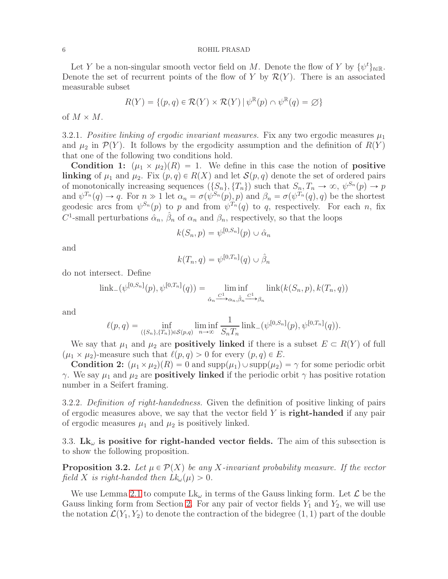Let Y be a non-singular smooth vector field on M. Denote the flow of Y by  $\{\psi^t\}_{t\in\mathbb{R}}$ . Denote the set of recurrent points of the flow of Y by  $\mathcal{R}(Y)$ . There is an associated measurable subset

$$
R(Y) = \{(p, q) \in \mathcal{R}(Y) \times \mathcal{R}(Y) \mid \psi^{\mathbb{R}}(p) \cap \psi^{\mathbb{R}}(q) = \varnothing\}
$$

of  $M \times M$ .

3.2.1. Positive linking of ergodic invariant measures. Fix any two ergodic measures  $\mu_1$ and  $\mu_2$  in  $\mathcal{P}(Y)$ . It follows by the ergodicity assumption and the definition of  $R(Y)$ that one of the following two conditions hold.

**Condition 1:**  $(\mu_1 \times \mu_2)(R) = 1$ . We define in this case the notion of **positive** linking of  $\mu_1$  and  $\mu_2$ . Fix  $(p, q) \in R(X)$  and let  $\mathcal{S}(p, q)$  denote the set of ordered pairs of monotonically increasing sequences  $(\{S_n\}, \{T_n\})$  such that  $S_n, T_n \to \infty$ ,  $\psi^{S_n}(p) \to p$ and  $\psi^{T_n}(q) \to q$ . For  $n \gg 1$  let  $\alpha_n = \sigma(\psi^{S_n}(p), p)$  and  $\beta_n = \sigma(\psi^{T_n}(q), q)$  be the shortest geodesic arcs from  $\psi^{S_n}(p)$  to p and from  $\psi^{T_n}(q)$  to q, respectively. For each n, fix  $C^1$ -small perturbations  $\hat{\alpha}_n$ ,  $\hat{\beta}_n$  of  $\alpha_n$  and  $\beta_n$ , respectively, so that the loops

$$
k(S_n, p) = \psi^{[0, S_n]}(p) \cup \hat{\alpha}_n
$$

and

$$
k(T_n, q) = \psi^{[0, T_n]}(q) \cup \hat{\beta}_n
$$

do not intersect. Define

$$
\text{link}_{-}(\psi^{[0,S_n]}(p), \psi^{[0,T_n]}(q)) = \liminf_{\hat{\alpha}_n \xrightarrow{C^1} \alpha_n, \hat{\beta}_n \xrightarrow{C^1} \beta_n} \text{link}(k(S_n, p), k(T_n, q))
$$

and

$$
\ell(p,q) = \inf_{(\{S_n\}, \{T_n\}) \in \mathcal{S}(p,q)} \liminf_{n \to \infty} \frac{1}{S_n T_n} \operatorname{link}_{-}(\psi^{[0,S_n]}(p), \psi^{[0,T_n]}(q)).
$$

We say that  $\mu_1$  and  $\mu_2$  are **positively linked** if there is a subset  $E \subset R(Y)$  of full  $(\mu_1 \times \mu_2)$ -measure such that  $\ell(p,q) > 0$  for every  $(p,q) \in E$ .

**Condition 2:**  $(\mu_1 \times \mu_2)(R) = 0$  and  $\text{supp}(\mu_1) \cup \text{supp}(\mu_2) = \gamma$  for some periodic orbit  $γ$ . We say  $μ_1$  and  $μ_2$  are **positively linked** if the periodic orbit  $γ$  has positive rotation number in a Seifert framing.

3.2.2. Definition of right-handedness. Given the definition of positive linking of pairs of ergodic measures above, we say that the vector field  $Y$  is **right-handed** if any pair of ergodic measures  $\mu_1$  and  $\mu_2$  is positively linked.

3.3.  $Lk_{\omega}$  is positive for right-handed vector fields. The aim of this subsection is to show the following proposition.

<span id="page-5-0"></span>**Proposition 3.2.** Let  $\mu \in \mathcal{P}(X)$  be any X-invariant probability measure. If the vector field X is right-handed then  $Lk_{\omega}(\mu) > 0$ .

We use Lemma [2.1](#page-3-0) to compute  $Lk_{\omega}$  in terms of the Gauss linking form. Let  $\mathcal L$  be the Gauss linking form from Section [2.](#page-2-0) For any pair of vector fields  $Y_1$  and  $Y_2$ , we will use the notation  $\mathcal{L}(Y_1, Y_2)$  to denote the contraction of the bidegree  $(1, 1)$  part of the double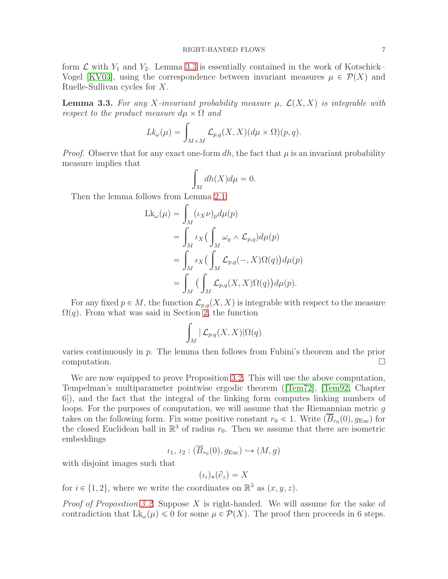form  $\mathcal L$  with  $Y_1$  and  $Y_2$ . Lemma [3.3](#page-6-0) is essentially contained in the work of Kotschick– Vogel [\[KV03\]](#page-12-8), using the correspondence between invariant measures  $\mu \in \mathcal{P}(X)$  and Ruelle-Sullivan cycles for X.

<span id="page-6-0"></span>**Lemma 3.3.** For any X-invariant probability measure  $\mu$ ,  $\mathcal{L}(X, X)$  is integrable with respect to the product measure  $d\mu \times \Omega$  and

$$
Lk_{\omega}(\mu) = \int_{M \times M} \mathcal{L}_{p,q}(X,X) (d\mu \times \Omega)(p,q).
$$

*Proof.* Observe that for any exact one-form dh, the fact that  $\mu$  is an invariant probability measure implies that

$$
\int_M dh(X)d\mu = 0.
$$

Then the lemma follows from Lemma [2.1:](#page-3-0)

$$
\begin{aligned} \mathrm{Lk}_{\omega}(\mu) &= \int_{M} (\iota_{X}\nu)_{p} d\mu(p) \\ &= \int_{M} \iota_{X} \big( \int_{M} \omega_{q} \wedge \mathcal{L}_{p,q} \big) d\mu(p) \\ &= \int_{M} \iota_{X} \big( \int_{M} \mathcal{L}_{p,q}(-,X) \Omega(q) \big) d\mu(p) \\ &= \int_{M} \big( \int_{M} \mathcal{L}_{p,q}(X,X) \Omega(q) \big) d\mu(p). \end{aligned}
$$

For any fixed  $p \in M$ , the function  $\mathcal{L}_{p,q}(X, X)$  is integrable with respect to the measure  $\Omega(q)$ . From what was said in Section [2,](#page-2-0) the function

$$
\int_M |\mathcal{L}_{p,q}(X,X)| \Omega(q)
$$

varies continuously in  $p$ . The lemma then follows from Fubini's theorem and the prior computation.  $\Box$ 

We are now equipped to prove Proposition [3.2.](#page-5-0) This will use the above computation, Tempelman's multiparameter pointwise ergodic theorem ([\[Tem72\]](#page-12-9), [\[Tem92,](#page-12-10) Chapter 6]), and the fact that the integral of the linking form computes linking numbers of loops. For the purposes of computation, we will assume that the Riemannian metric g takes on the following form. Fix some positive constant  $r_0 \ll 1$ . Write  $(B_{r_0}(0), g_{\text{Euc}})$  for the closed Euclidean ball in  $\mathbb{R}^3$  of radius  $r_0$ . Then we assume that there are isometric embeddings

$$
\iota_1, \iota_2 : (\overline{B}_{r_0}(0), g_{\text{Euc}}) \hookrightarrow (M, g)
$$

with disjoint images such that

$$
(\iota_i)_*(\partial_z) = X
$$

for  $i \in \{1, 2\}$ , where we write the coordinates on  $\mathbb{R}^3$  as  $(x, y, z)$ .

*Proof of Proposition [3.2.](#page-5-0)* Suppose X is right-handed. We will assume for the sake of contradiction that  $Lk_{\omega}(\mu) \leq 0$  for some  $\mu \in \mathcal{P}(X)$ . The proof then proceeds in 6 steps.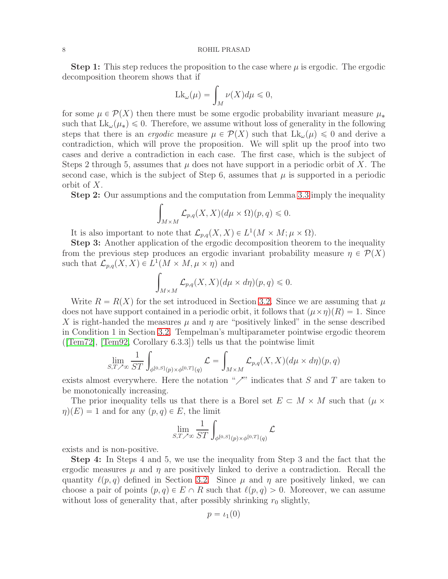**Step 1:** This step reduces the proposition to the case where  $\mu$  is ergodic. The ergodic decomposition theorem shows that if

$$
Lk_{\omega}(\mu) = \int_M \nu(X)d\mu \leq 0,
$$

for some  $\mu \in \mathcal{P}(X)$  then there must be some ergodic probability invariant measure  $\mu_*$ such that  $Lk_{\omega}(\mu_*)\leq 0$ . Therefore, we assume without loss of generality in the following steps that there is an *ergodic* measure  $\mu \in \mathcal{P}(X)$  such that  $L_{k_{\omega}}(\mu) \leq 0$  and derive a contradiction, which will prove the proposition. We will split up the proof into two cases and derive a contradiction in each case. The first case, which is the subject of Steps 2 through 5, assumes that  $\mu$  does not have support in a periodic orbit of X. The second case, which is the subject of Step 6, assumes that  $\mu$  is supported in a periodic orbit of X.

Step 2: Our assumptions and the computation from Lemma [3.3](#page-6-0) imply the inequality

$$
\int_{M\times M} \mathcal{L}_{p,q}(X,X)(d\mu \times \Omega)(p,q) \leq 0.
$$

It is also important to note that  $\mathcal{L}_{p,q}(X,X) \in L^1(M \times M; \mu \times \Omega)$ .

Step 3: Another application of the ergodic decomposition theorem to the inequality from the previous step produces an ergodic invariant probability measure  $\eta \in \mathcal{P}(X)$ such that  $\mathcal{L}_{p,q}(X,X) \in L^1(M \times M, \mu \times \eta)$  and

$$
\int_{M\times M} \mathcal{L}_{p,q}(X,X) (d\mu \times d\eta)(p,q) \leqslant 0.
$$

Write  $R = R(X)$  for the set introduced in Section [3.2.](#page-4-1) Since we are assuming that  $\mu$ does not have support contained in a periodic orbit, it follows that  $(\mu \times \eta)(R) = 1$ . Since X is right-handed the measures  $\mu$  and  $\eta$  are "positively linked" in the sense described in Condition 1 in Section [3.2.](#page-4-1) Tempelman's multiparameter pointwise ergodic theorem ( $[Tem72]$ ,  $[Tem92, Corollary 6.3.3]$ ) tells us that the pointwise limit

$$
\lim_{S,T \nearrow \infty} \frac{1}{ST} \int_{\phi^{[0,S]}(p) \times \phi^{[0,T]}(q)} \mathcal{L} = \int_{M \times M} \mathcal{L}_{p,q}(X,X) (d\mu \times d\eta)(p,q)
$$

exists almost everywhere. Here the notation " $\nearrow$ " indicates that S and T are taken to be monotonically increasing.

The prior inequality tells us that there is a Borel set  $E \subset M \times M$  such that  $(\mu \times$  $\eta(x) = 1$  and for any  $(p, q) \in E$ , the limit

$$
\lim_{S,T \nearrow \infty} \frac{1}{ST} \int_{\phi^{[0,S]}(p) \times \phi^{[0,T]}(q)} \mathcal{L}
$$

exists and is non-positive.

Step 4: In Steps 4 and 5, we use the inequality from Step 3 and the fact that the ergodic measures  $\mu$  and  $\eta$  are positively linked to derive a contradiction. Recall the quantity  $\ell(p,q)$  defined in Section [3.2.](#page-4-1) Since  $\mu$  and  $\eta$  are positively linked, we can choose a pair of points  $(p, q) \in E \cap R$  such that  $\ell(p, q) > 0$ . Moreover, we can assume without loss of generality that, after possibly shrinking  $r_0$  slightly,

$$
p=\iota_1(0)
$$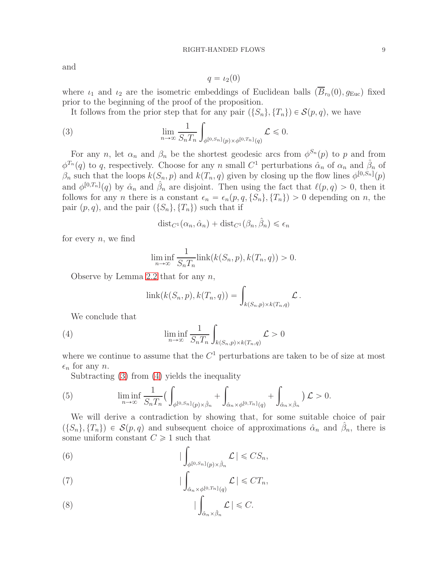and

<span id="page-8-0"></span>
$$
q=\iota_2(0)
$$

where  $\iota_1$  and  $\iota_2$  are the isometric embeddings of Euclidean balls  $(B_{r_0}(0), g_{\text{Euc}})$  fixed prior to the beginning of the proof of the proposition.

It follows from the prior step that for any pair  $(\{S_n\}, \{T_n\}) \in \mathcal{S}(p,q)$ , we have

(3) 
$$
\lim_{n \to \infty} \frac{1}{S_n T_n} \int_{\phi^{[0,S_n]}(p) \times \phi^{[0,T_n]}(q)} \mathcal{L} \leq 0.
$$

For any n, let  $\alpha_n$  and  $\beta_n$  be the shortest geodesic arcs from  $\phi^{S_n}(p)$  to p and from  $\phi^{T_n}(q)$  to q, respectively. Choose for any n small  $C^1$  perturbations  $\hat{\alpha}_n$  of  $\alpha_n$  and  $\hat{\beta}_n$  of  $\beta_n$  such that the loops  $k(S_n, p)$  and  $k(T_n, q)$  given by closing up the flow lines  $\phi^{[0, S_n]}(p)$ and  $\phi^{[0,T_n]}(q)$  by  $\hat{\alpha}_n$  and  $\hat{\beta}_n$  are disjoint. Then using the fact that  $\ell(p,q) > 0$ , then it follows for any *n* there is a constant  $\epsilon_n = \epsilon_n(p, q, \{S_n\}, \{T_n\}) > 0$  depending on *n*, the pair  $(p, q)$ , and the pair  $({S_n}, {T_n})$  such that if

$$
dist_{C^1}(\alpha_n, \hat{\alpha}_n) + dist_{C^1}(\beta_n, \hat{\beta}_n) \le \epsilon_n
$$

for every  $n$ , we find

$$
\liminf_{n \to \infty} \frac{1}{S_n T_n} \text{link}(k(S_n, p), k(T_n, q)) > 0.
$$

Observe by Lemma [2.2](#page-3-2) that for any  $n$ ,

<span id="page-8-1"></span>
$$
\text{link}(k(S_n, p), k(T_n, q)) = \int_{k(S_n, p) \times k(T_n, q)} \mathcal{L}.
$$

We conclude that

(4) 
$$
\liminf_{n \to \infty} \frac{1}{S_n T_n} \int_{k(S_n, p) \times k(T_n, q)} \mathcal{L} > 0
$$

where we continue to assume that the  $C<sup>1</sup>$  perturbations are taken to be of size at most  $\epsilon_n$  for any n.

<span id="page-8-4"></span>Subtracting [\(3\)](#page-8-0) from [\(4\)](#page-8-1) yields the inequality

(5) 
$$
\liminf_{n \to \infty} \frac{1}{S_n T_n} \left( \int_{\phi^{[0,S_n]}(p) \times \hat{\beta}_n} + \int_{\hat{\alpha}_n \times \phi^{[0,T_n]}(q)} + \int_{\hat{\alpha}_n \times \hat{\beta}_n} \right) \mathcal{L} > 0.
$$

We will derive a contradiction by showing that, for some suitable choice of pair  $(\{S_n\}, \{T_n\}) \in \mathcal{S}(p,q)$  and subsequent choice of approximations  $\hat{\alpha}_n$  and  $\hat{\beta}_n$ , there is some uniform constant  $C \geq 1$  such that

<span id="page-8-2"></span>(6) 
$$
\left| \int_{\phi^{[0,S_n]}(p) \times \hat{\beta}_n} \mathcal{L} \right| \leqslant CS_n,
$$

<span id="page-8-5"></span>(7) 
$$
\left| \int_{\hat{\alpha}_n \times \phi[0,T_n]} \mathcal{L} \right| \leq C T_n,
$$

<span id="page-8-3"></span>(8) 
$$
|\int_{\hat{\alpha}_n \times \hat{\beta}_n} \mathcal{L}| \leq C.
$$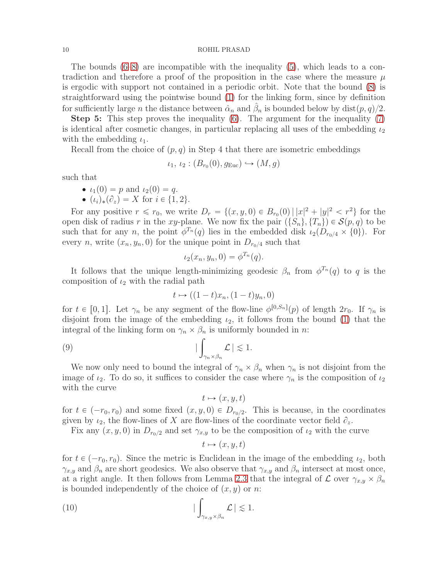The bounds [\(6](#page-8-2)[–8\)](#page-8-3) are incompatible with the inequality [\(5\)](#page-8-4), which leads to a contradiction and therefore a proof of the proposition in the case where the measure  $\mu$ is ergodic with support not contained in a periodic orbit. Note that the bound [\(8\)](#page-8-3) is straightforward using the pointwise bound [\(1\)](#page-3-3) for the linking form, since by definition for sufficiently large *n* the distance between  $\hat{\alpha}_n$  and  $\hat{\beta}_n$  is bounded below by dist $(p, q)/2$ .

Step 5: This step proves the inequality [\(6\)](#page-8-2). The argument for the inequality [\(7\)](#page-8-5) is identical after cosmetic changes, in particular replacing all uses of the embedding  $\iota_2$ with the embedding  $\iota_1$ .

Recall from the choice of  $(p, q)$  in Step 4 that there are isometric embeddings

$$
\iota_1, \iota_2 : (B_{r_0}(0), g_{\text{Euc}}) \hookrightarrow (M, g)
$$

such that

• 
$$
\iota_1(0) = p
$$
 and  $\iota_2(0) = q$ .

 $(k_i)_*(\partial_z) = X$  for  $i \in \{1, 2\}.$ 

For any positive  $r \le r_0$ , we write  $D_r = \{(x, y, 0) \in B_{r_0}(0) | |x|^2 + |y|^2 < r^2 \}$  for the open disk of radius r in the xy-plane. We now fix the pair  $(\{S_n\}, \{T_n\}) \in \mathcal{S}(p, q)$  to be such that for any n, the point  $\phi^{T_n}(q)$  lies in the embedded disk  $\iota_2(D_{r_0/4} \times \{0\})$ . For every *n*, write  $(x_n, y_n, 0)$  for the unique point in  $D_{r_0/4}$  such that

$$
\iota_2(x_n, y_n, 0) = \phi^{T_n}(q).
$$

It follows that the unique length-minimizing geodesic  $\beta_n$  from  $\phi^{T_n}(q)$  to q is the composition of  $\iota_2$  with the radial path

$$
t \mapsto ((1-t)x_n, (1-t)y_n, 0)
$$

for  $t \in [0, 1]$ . Let  $\gamma_n$  be any segment of the flow-line  $\phi^{[0, S_n]}(p)$  of length  $2r_0$ . If  $\gamma_n$  is disjoint from the image of the embedding  $\iota_2$ , it follows from the bound [\(1\)](#page-3-3) that the integral of the linking form on  $\gamma_n \times \beta_n$  is uniformly bounded in *n*:

$$
\big| \int_{\gamma_n \times \beta_n} \mathcal{L} \big| \lesssim 1.
$$

We now only need to bound the integral of  $\gamma_n \times \beta_n$  when  $\gamma_n$  is not disjoint from the image of  $i_2$ . To do so, it suffices to consider the case where  $\gamma_n$  is the composition of  $i_2$ with the curve

<span id="page-9-0"></span>
$$
t \mapsto (x, y, t)
$$

for  $t \in (-r_0, r_0)$  and some fixed  $(x, y, 0) \in D_{r_0/2}$ . This is because, in the coordinates given by  $\iota_2$ , the flow-lines of X are flow-lines of the coordinate vector field  $\partial_z$ .

Fix any  $(x, y, 0)$  in  $D_{r_0/2}$  and set  $\gamma_{x,y}$  to be the composition of  $\iota_2$  with the curve

<span id="page-9-1"></span>
$$
t \mapsto (x, y, t)
$$

for  $t \in (-r_0, r_0)$ . Since the metric is Euclidean in the image of the embedding  $\iota_2$ , both  $\gamma_{x,y}$  and  $\beta_n$  are short geodesics. We also observe that  $\gamma_{x,y}$  and  $\beta_n$  intersect at most once, at a right angle. It then follows from Lemma [2.3](#page-3-1) that the integral of  $\mathcal L$  over  $\gamma_{x,y} \times \beta_n$ is bounded independently of the choice of  $(x, y)$  or n:

(10) 
$$
\left| \int_{\gamma_{x,y} \times \beta_n} \mathcal{L} \right| \lesssim 1.
$$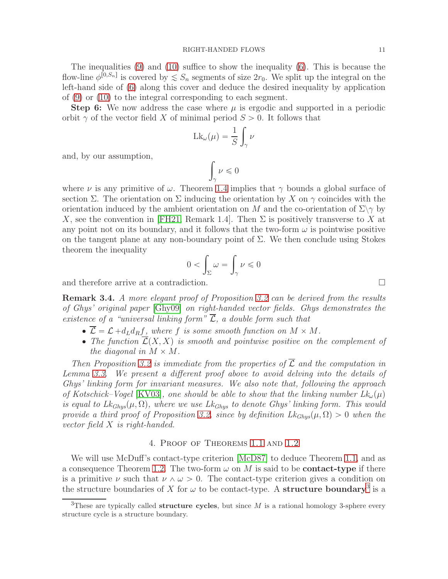The inequalities [\(9\)](#page-9-0) and [\(10\)](#page-9-1) suffice to show the inequality [\(6\)](#page-8-2). This is because the flow-line  $\phi^{[0,S_n]}$  is covered by  $\leq S_n$  segments of size  $2r_0$ . We split up the integral on the left-hand side of [\(6\)](#page-8-2) along this cover and deduce the desired inequality by application of [\(9\)](#page-9-0) or [\(10\)](#page-9-1) to the integral corresponding to each segment.

**Step 6:** We now address the case where  $\mu$  is ergodic and supported in a periodic orbit  $\gamma$  of the vector field X of minimal period  $S > 0$ . It follows that

$$
Lk_{\omega}(\mu) = \frac{1}{S} \int_{\gamma} \nu
$$

and, by our assumption,

$$
\int_{\gamma} \nu \leq 0
$$

where  $\nu$  is any primitive of  $\omega$ . Theorem [1.4](#page-1-2) implies that  $\gamma$  bounds a global surface of section  $\Sigma$ . The orientation on  $\Sigma$  inducing the orientation by X on  $\gamma$  coincides with the orientation induced by the ambient orientation on M and the co-orientation of  $\Sigma\gamma$  by X, see the convention in [\[FH21,](#page-12-5) Remark 1.4]. Then  $\Sigma$  is positively transverse to X at any point not on its boundary, and it follows that the two-form  $\omega$  is pointwise positive on the tangent plane at any non-boundary point of  $\Sigma$ . We then conclude using Stokes theorem the inequality

$$
0 < \int_{\Sigma} \omega = \int_{\gamma} \nu \leq 0
$$

and therefore arrive at a contradiction.

Remark 3.4. A more elegant proof of Proposition [3.2](#page-5-0) can be derived from the results of Ghys' original paper [\[Ghy09\]](#page-12-0) on right-handed vector fields. Ghys demonstrates the existence of a "universal linking form"  $\overline{\mathcal{L}}$ , a double form such that

- $\bullet \ \overline{\mathcal{L}} = \mathcal{L} + d_L d_R f$ , where f is some smooth function on  $M \times M$ .
- The function  $\overline{\mathcal{L}}(X, X)$  is smooth and pointwise positive on the complement of the diagonal in  $M \times M$ .

Then Proposition [3.2](#page-5-0) is immediate from the properties of  $\overline{\mathcal{L}}$  and the computation in Lemma [3.3.](#page-6-0) We present a different proof above to avoid delving into the details of Ghys' linking form for invariant measures. We also note that, following the approach of Kotschick–Vogel [\[KV03\]](#page-12-8), one should be able to show that the linking number  $Lk_{\omega}(\mu)$ is equal to  $Lk_{Ghys}(\mu, \Omega)$ , where we use  $Lk_{Ghys}$  to denote Ghys' linking form. This would provide a third proof of Proposition [3.2,](#page-5-0) since by definition  $Lk_{Ghus}(\mu, \Omega) > 0$  when the vector field X is right-handed.

# 4. Proof of Theorems [1.1](#page-0-0) and [1.2](#page-0-1)

We will use McDuff's contact-type criterion [\[McD87\]](#page-12-6) to deduce Theorem [1.1,](#page-0-0) and as a consequence Theorem [1.2.](#page-0-1) The two-form  $\omega$  on M is said to be **contact-type** if there is a primitive  $\nu$  such that  $\nu \wedge \omega > 0$ . The contact-type criterion gives a condition on the structure boundaries of X for  $\omega$  to be contact-type. A **structure boundary**<sup>[3](#page-10-0)</sup> is a

<span id="page-10-0"></span><sup>&</sup>lt;sup>3</sup>These are typically called **structure cycles**, but since  $M$  is a rational homology 3-sphere every structure cycle is a structure boundary.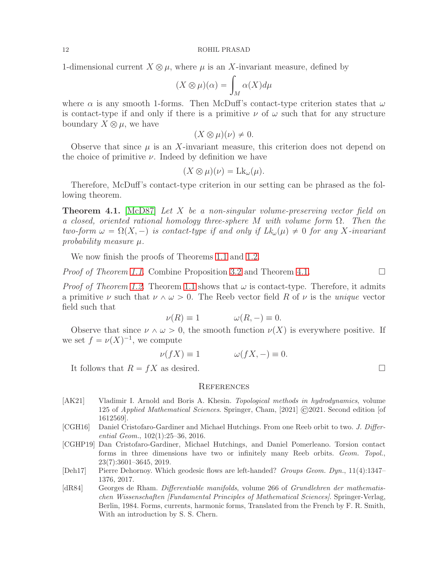1-dimensional current  $X \otimes \mu$ , where  $\mu$  is an X-invariant measure, defined by

$$
(X \otimes \mu)(\alpha) = \int_M \alpha(X) d\mu
$$

where  $\alpha$  is any smooth 1-forms. Then McDuff's contact-type criterion states that  $\omega$ is contact-type if and only if there is a primitive  $\nu$  of  $\omega$  such that for any structure boundary  $X \otimes \mu$ , we have

$$
(X \otimes \mu)(\nu) \neq 0.
$$

Observe that since  $\mu$  is an X-invariant measure, this criterion does not depend on the choice of primitive  $\nu$ . Indeed by definition we have

$$
(X\otimes\mu)(\nu) = \mathrm{Lk}_{\omega}(\mu).
$$

Therefore, McDuff's contact-type criterion in our setting can be phrased as the following theorem.

<span id="page-11-5"></span>**Theorem 4.1.** [\[McD87\]](#page-12-6) Let X be a non-singular volume-preserving vector field on a closed, oriented rational homology three-sphere M with volume form  $\Omega$ . Then the two-form  $\omega = \Omega(X, -)$  is contact-type if and only if  $Lk_{\omega}(\mu) \neq 0$  for any X-invariant probability measure  $\mu$ .

We now finish the proofs of Theorems [1.1](#page-0-0) and [1.2.](#page-0-1)

*Proof of Theorem [1.1.](#page-0-0)* Combine Proposition [3.2](#page-5-0) and Theorem [4.1.](#page-11-5)

*Proof of Theorem [1.2.](#page-0-1)* Theorem [1.1](#page-0-0) shows that  $\omega$  is contact-type. Therefore, it admits a primitive  $\nu$  such that  $\nu \wedge \omega > 0$ . The Reeb vector field R of  $\nu$  is the unique vector field such that

$$
\nu(R) \equiv 1 \qquad \qquad \omega(R, -) \equiv 0.
$$

Observe that since  $\nu \wedge \omega > 0$ , the smooth function  $\nu(X)$  is everywhere positive. If we set  $f = \nu(X)^{-1}$ , we compute

$$
\nu(fX) \equiv 1 \qquad \qquad \omega(fX, -) \equiv 0.
$$

It follows that  $R = fX$  as desired.

### **REFERENCES**

- <span id="page-11-4"></span>[AK21] Vladimir I. Arnold and Boris A. Khesin. Topological methods in hydrodynamics, volume 125 of Applied Mathematical Sciences. Springer, Cham, [2021] ©2021. Second edition [of 1612569].
- <span id="page-11-0"></span>[CGH16] Daniel Cristofaro-Gardiner and Michael Hutchings. From one Reeb orbit to two. J. Differential Geom., 102(1):25–36, 2016.
- <span id="page-11-1"></span>[CGHP19] Dan Cristofaro-Gardiner, Michael Hutchings, and Daniel Pomerleano. Torsion contact forms in three dimensions have two or infinitely many Reeb orbits. Geom. Topol., 23(7):3601–3645, 2019.
- <span id="page-11-2"></span>[Deh17] Pierre Dehornoy. Which geodesic flows are left-handed? Groups Geom. Dyn., 11(4):1347– 1376, 2017.
- <span id="page-11-3"></span>[dR84] Georges de Rham. Differentiable manifolds, volume 266 of Grundlehren der mathematischen Wissenschaften [Fundamental Principles of Mathematical Sciences]. Springer-Verlag, Berlin, 1984. Forms, currents, harmonic forms, Translated from the French by F. R. Smith, With an introduction by S. S. Chern.